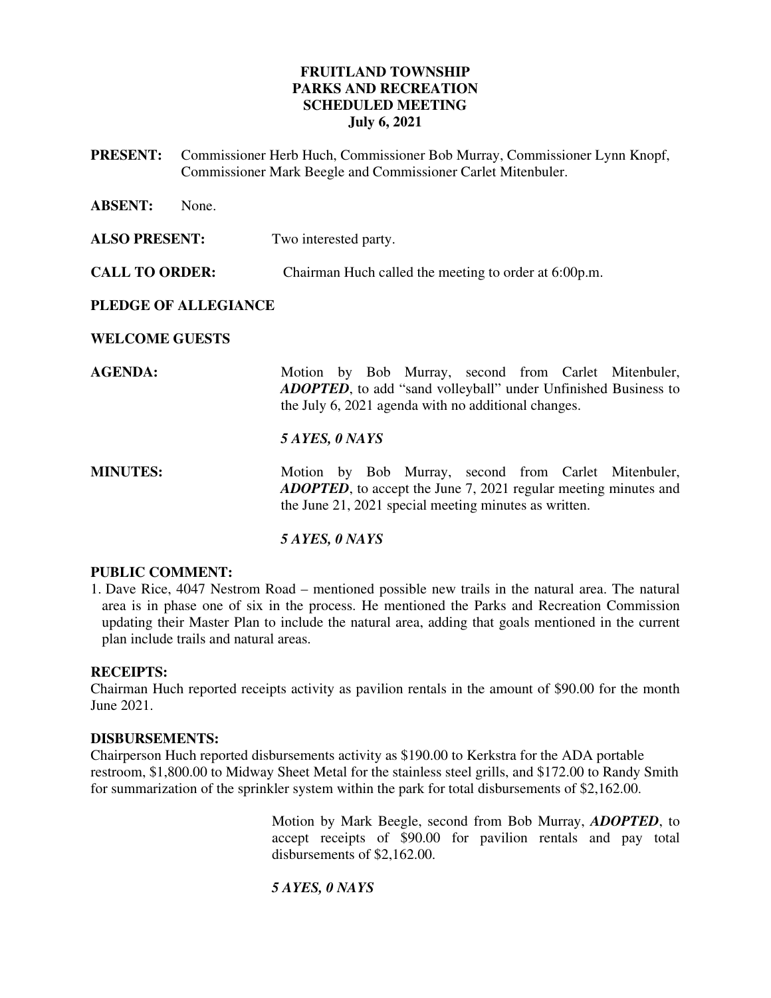## **FRUITLAND TOWNSHIP PARKS AND RECREATION SCHEDULED MEETING July 6, 2021**

**PRESENT:** Commissioner Herb Huch, Commissioner Bob Murray, Commissioner Lynn Knopf, Commissioner Mark Beegle and Commissioner Carlet Mitenbuler.

| <b>ABSENT:</b>        | None. |                                                                                                                                                                                          |
|-----------------------|-------|------------------------------------------------------------------------------------------------------------------------------------------------------------------------------------------|
| <b>ALSO PRESENT:</b>  |       | Two interested party.                                                                                                                                                                    |
| <b>CALL TO ORDER:</b> |       | Chairman Huch called the meeting to order at 6:00p.m.                                                                                                                                    |
| PLEDGE OF ALLEGIANCE  |       |                                                                                                                                                                                          |
| <b>WELCOME GUESTS</b> |       |                                                                                                                                                                                          |
| <b>AGENDA:</b>        |       | Motion by Bob Murray, second from Carlet Mitenbuler,<br><b>ADOPTED</b> , to add "sand volleyball" under Unfinished Business to<br>the July 6, 2021 agenda with no additional changes.    |
|                       |       | 5 AYES, 0 NAYS                                                                                                                                                                           |
| <b>MINUTES:</b>       |       | Motion by Bob Murray, second from Carlet Mitenbuler,<br><b>ADOPTED</b> , to accept the June 7, 2021 regular meeting minutes and<br>the June 21, 2021 special meeting minutes as written. |

# *5 AYES, 0 NAYS*

## **PUBLIC COMMENT:**

1. Dave Rice, 4047 Nestrom Road – mentioned possible new trails in the natural area. The natural area is in phase one of six in the process. He mentioned the Parks and Recreation Commission updating their Master Plan to include the natural area, adding that goals mentioned in the current plan include trails and natural areas.

#### **RECEIPTS:**

Chairman Huch reported receipts activity as pavilion rentals in the amount of \$90.00 for the month June 2021.

#### **DISBURSEMENTS:**

Chairperson Huch reported disbursements activity as \$190.00 to Kerkstra for the ADA portable restroom, \$1,800.00 to Midway Sheet Metal for the stainless steel grills, and \$172.00 to Randy Smith for summarization of the sprinkler system within the park for total disbursements of \$2,162.00.

> Motion by Mark Beegle, second from Bob Murray, *ADOPTED*, to accept receipts of \$90.00 for pavilion rentals and pay total disbursements of \$2,162.00.

#### *5 AYES, 0 NAYS*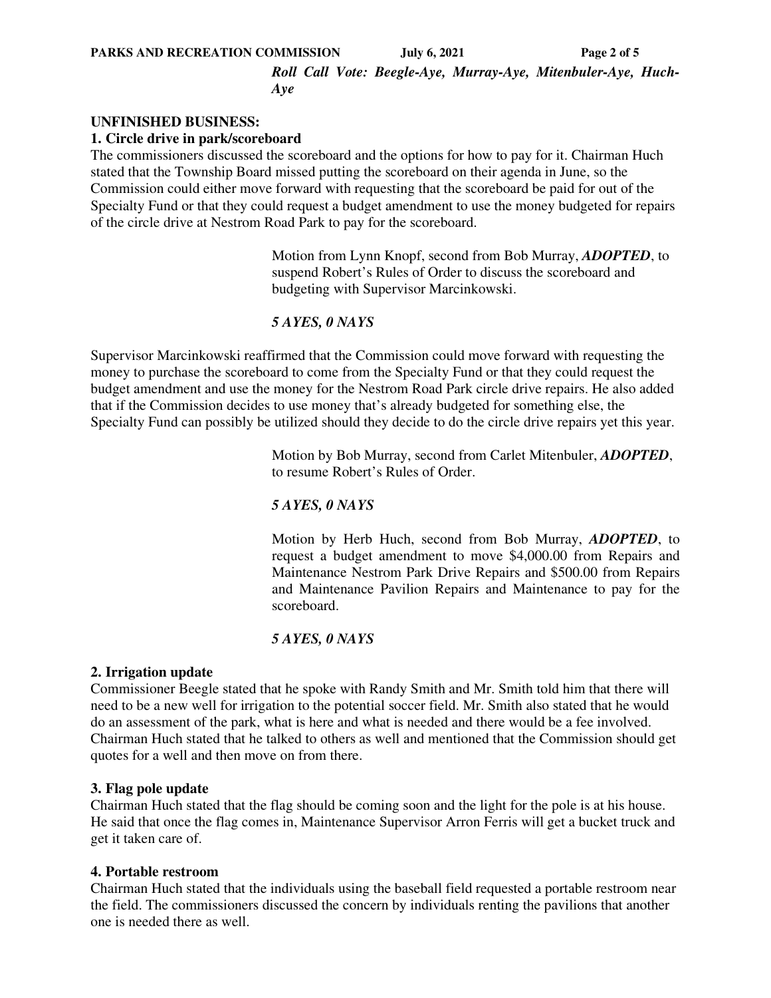#### **PARKS AND RECREATION COMMISSION** July 6, 2021 Page 2 of 5

*Roll Call Vote: Beegle-Aye, Murray-Aye, Mitenbuler-Aye, Huch-Aye* 

## **UNFINISHED BUSINESS:**

#### **1. Circle drive in park/scoreboard**

The commissioners discussed the scoreboard and the options for how to pay for it. Chairman Huch stated that the Township Board missed putting the scoreboard on their agenda in June, so the Commission could either move forward with requesting that the scoreboard be paid for out of the Specialty Fund or that they could request a budget amendment to use the money budgeted for repairs of the circle drive at Nestrom Road Park to pay for the scoreboard.

> Motion from Lynn Knopf, second from Bob Murray, *ADOPTED*, to suspend Robert's Rules of Order to discuss the scoreboard and budgeting with Supervisor Marcinkowski.

#### *5 AYES, 0 NAYS*

Supervisor Marcinkowski reaffirmed that the Commission could move forward with requesting the money to purchase the scoreboard to come from the Specialty Fund or that they could request the budget amendment and use the money for the Nestrom Road Park circle drive repairs. He also added that if the Commission decides to use money that's already budgeted for something else, the Specialty Fund can possibly be utilized should they decide to do the circle drive repairs yet this year.

> Motion by Bob Murray, second from Carlet Mitenbuler, *ADOPTED*, to resume Robert's Rules of Order.

## *5 AYES, 0 NAYS*

Motion by Herb Huch, second from Bob Murray, *ADOPTED*, to request a budget amendment to move \$4,000.00 from Repairs and Maintenance Nestrom Park Drive Repairs and \$500.00 from Repairs and Maintenance Pavilion Repairs and Maintenance to pay for the scoreboard.

#### *5 AYES, 0 NAYS*

#### **2. Irrigation update**

Commissioner Beegle stated that he spoke with Randy Smith and Mr. Smith told him that there will need to be a new well for irrigation to the potential soccer field. Mr. Smith also stated that he would do an assessment of the park, what is here and what is needed and there would be a fee involved. Chairman Huch stated that he talked to others as well and mentioned that the Commission should get quotes for a well and then move on from there.

#### **3. Flag pole update**

Chairman Huch stated that the flag should be coming soon and the light for the pole is at his house. He said that once the flag comes in, Maintenance Supervisor Arron Ferris will get a bucket truck and get it taken care of.

#### **4. Portable restroom**

Chairman Huch stated that the individuals using the baseball field requested a portable restroom near the field. The commissioners discussed the concern by individuals renting the pavilions that another one is needed there as well.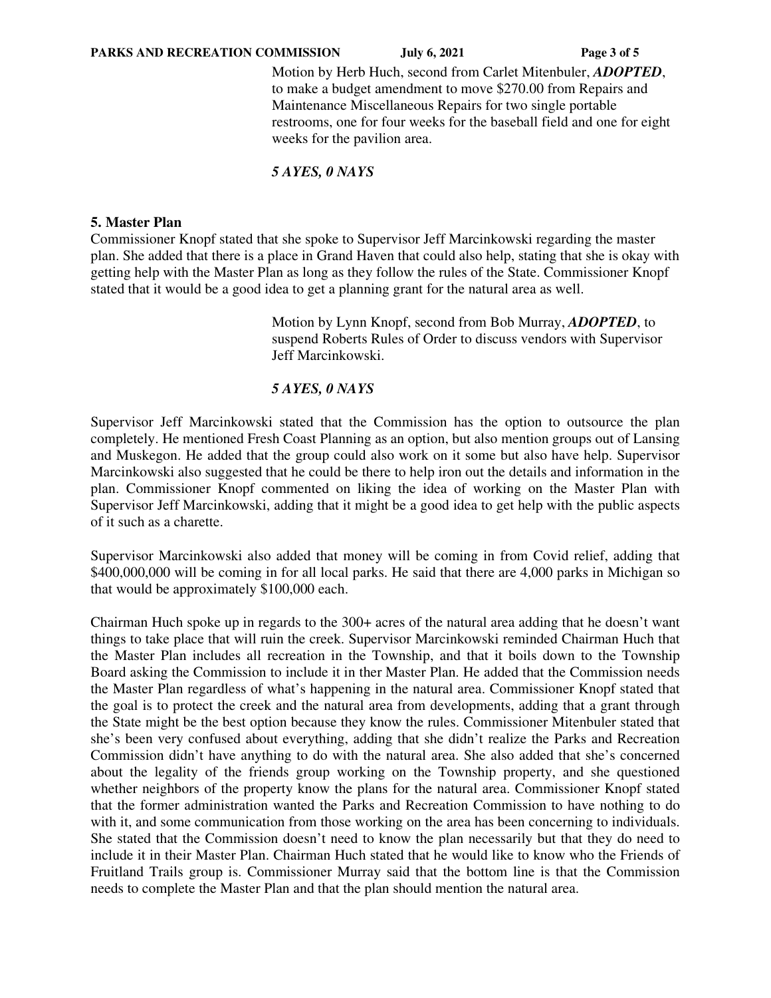Motion by Herb Huch, second from Carlet Mitenbuler, *ADOPTED*, to make a budget amendment to move \$270.00 from Repairs and Maintenance Miscellaneous Repairs for two single portable restrooms, one for four weeks for the baseball field and one for eight weeks for the pavilion area.

## *5 AYES, 0 NAYS*

## **5. Master Plan**

Commissioner Knopf stated that she spoke to Supervisor Jeff Marcinkowski regarding the master plan. She added that there is a place in Grand Haven that could also help, stating that she is okay with getting help with the Master Plan as long as they follow the rules of the State. Commissioner Knopf stated that it would be a good idea to get a planning grant for the natural area as well.

> Motion by Lynn Knopf, second from Bob Murray, *ADOPTED*, to suspend Roberts Rules of Order to discuss vendors with Supervisor Jeff Marcinkowski.

## *5 AYES, 0 NAYS*

Supervisor Jeff Marcinkowski stated that the Commission has the option to outsource the plan completely. He mentioned Fresh Coast Planning as an option, but also mention groups out of Lansing and Muskegon. He added that the group could also work on it some but also have help. Supervisor Marcinkowski also suggested that he could be there to help iron out the details and information in the plan. Commissioner Knopf commented on liking the idea of working on the Master Plan with Supervisor Jeff Marcinkowski, adding that it might be a good idea to get help with the public aspects of it such as a charette.

Supervisor Marcinkowski also added that money will be coming in from Covid relief, adding that \$400,000,000 will be coming in for all local parks. He said that there are 4,000 parks in Michigan so that would be approximately \$100,000 each.

Chairman Huch spoke up in regards to the 300+ acres of the natural area adding that he doesn't want things to take place that will ruin the creek. Supervisor Marcinkowski reminded Chairman Huch that the Master Plan includes all recreation in the Township, and that it boils down to the Township Board asking the Commission to include it in ther Master Plan. He added that the Commission needs the Master Plan regardless of what's happening in the natural area. Commissioner Knopf stated that the goal is to protect the creek and the natural area from developments, adding that a grant through the State might be the best option because they know the rules. Commissioner Mitenbuler stated that she's been very confused about everything, adding that she didn't realize the Parks and Recreation Commission didn't have anything to do with the natural area. She also added that she's concerned about the legality of the friends group working on the Township property, and she questioned whether neighbors of the property know the plans for the natural area. Commissioner Knopf stated that the former administration wanted the Parks and Recreation Commission to have nothing to do with it, and some communication from those working on the area has been concerning to individuals. She stated that the Commission doesn't need to know the plan necessarily but that they do need to include it in their Master Plan. Chairman Huch stated that he would like to know who the Friends of Fruitland Trails group is. Commissioner Murray said that the bottom line is that the Commission needs to complete the Master Plan and that the plan should mention the natural area.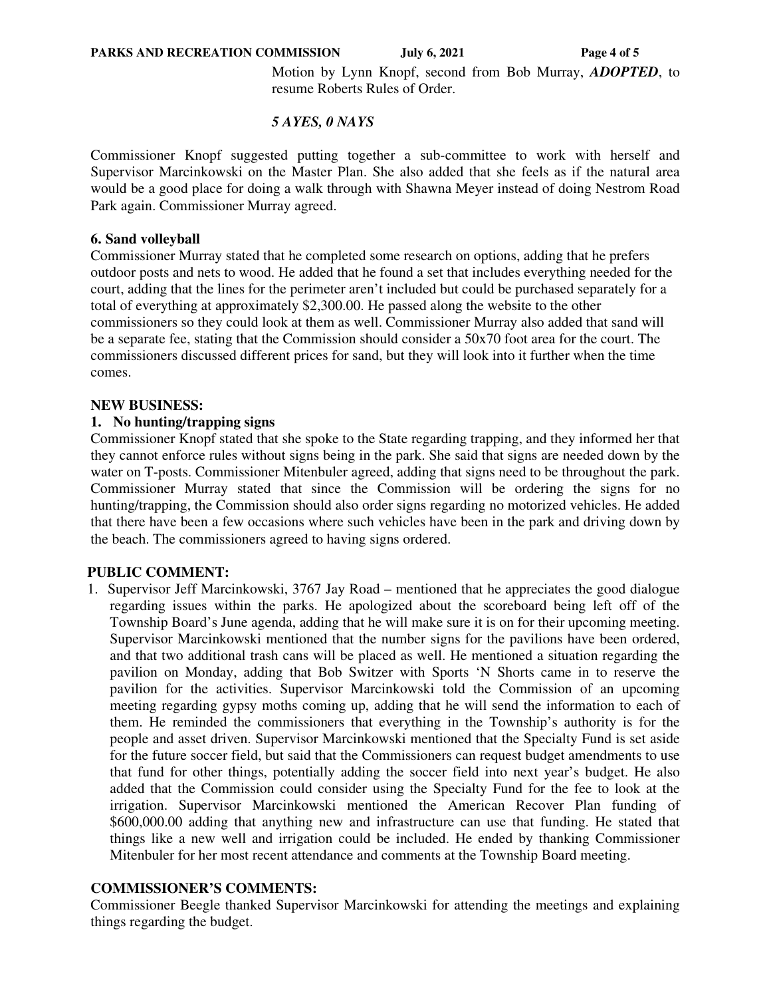Motion by Lynn Knopf, second from Bob Murray, *ADOPTED*, to resume Roberts Rules of Order.

## *5 AYES, 0 NAYS*

Commissioner Knopf suggested putting together a sub-committee to work with herself and Supervisor Marcinkowski on the Master Plan. She also added that she feels as if the natural area would be a good place for doing a walk through with Shawna Meyer instead of doing Nestrom Road Park again. Commissioner Murray agreed.

#### **6. Sand volleyball**

Commissioner Murray stated that he completed some research on options, adding that he prefers outdoor posts and nets to wood. He added that he found a set that includes everything needed for the court, adding that the lines for the perimeter aren't included but could be purchased separately for a total of everything at approximately \$2,300.00. He passed along the website to the other commissioners so they could look at them as well. Commissioner Murray also added that sand will be a separate fee, stating that the Commission should consider a 50x70 foot area for the court. The commissioners discussed different prices for sand, but they will look into it further when the time comes.

#### **NEW BUSINESS:**

## **1. No hunting/trapping signs**

Commissioner Knopf stated that she spoke to the State regarding trapping, and they informed her that they cannot enforce rules without signs being in the park. She said that signs are needed down by the water on T-posts. Commissioner Mitenbuler agreed, adding that signs need to be throughout the park. Commissioner Murray stated that since the Commission will be ordering the signs for no hunting/trapping, the Commission should also order signs regarding no motorized vehicles. He added that there have been a few occasions where such vehicles have been in the park and driving down by the beach. The commissioners agreed to having signs ordered.

#### **PUBLIC COMMENT:**

1. Supervisor Jeff Marcinkowski, 3767 Jay Road – mentioned that he appreciates the good dialogue regarding issues within the parks. He apologized about the scoreboard being left off of the Township Board's June agenda, adding that he will make sure it is on for their upcoming meeting. Supervisor Marcinkowski mentioned that the number signs for the pavilions have been ordered, and that two additional trash cans will be placed as well. He mentioned a situation regarding the pavilion on Monday, adding that Bob Switzer with Sports 'N Shorts came in to reserve the pavilion for the activities. Supervisor Marcinkowski told the Commission of an upcoming meeting regarding gypsy moths coming up, adding that he will send the information to each of them. He reminded the commissioners that everything in the Township's authority is for the people and asset driven. Supervisor Marcinkowski mentioned that the Specialty Fund is set aside for the future soccer field, but said that the Commissioners can request budget amendments to use that fund for other things, potentially adding the soccer field into next year's budget. He also added that the Commission could consider using the Specialty Fund for the fee to look at the irrigation. Supervisor Marcinkowski mentioned the American Recover Plan funding of \$600,000.00 adding that anything new and infrastructure can use that funding. He stated that things like a new well and irrigation could be included. He ended by thanking Commissioner Mitenbuler for her most recent attendance and comments at the Township Board meeting.

#### **COMMISSIONER'S COMMENTS:**

Commissioner Beegle thanked Supervisor Marcinkowski for attending the meetings and explaining things regarding the budget.